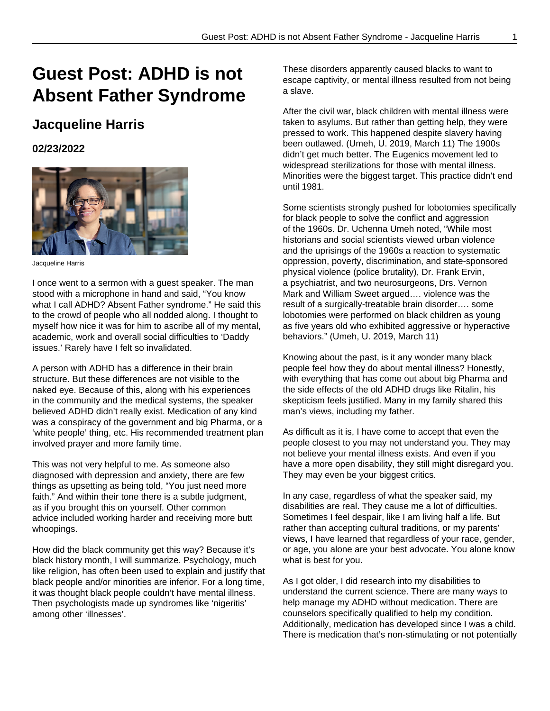## **Guest Post: ADHD is not Absent Father Syndrome**

## **Jacqueline Harris**

**02/23/2022**



Jacqueline Harris

I once went to a sermon with a guest speaker. The man stood with a microphone in hand and said, "You know what I call ADHD? Absent Father syndrome." He said this to the crowd of people who all nodded along. I thought to myself how nice it was for him to ascribe all of my mental, academic, work and overall social difficulties to 'Daddy issues.' Rarely have I felt so invalidated.

A person with ADHD has a difference in their brain structure. But these differences are not visible to the naked eye. Because of this, along with his experiences in the community and the medical systems, the speaker believed ADHD didn't really exist. Medication of any kind was a conspiracy of the government and big Pharma, or a 'white people' thing, etc. His recommended treatment plan involved prayer and more family time.

This was not very helpful to me. As someone also diagnosed with depression and anxiety, there are few things as upsetting as being told, "You just need more faith." And within their tone there is a subtle judgment, as if you brought this on yourself. Other common advice included working harder and receiving more butt whoopings.

How did the black community get this way? Because it's black history month, I will summarize. Psychology, much like religion, has often been used to explain and justify that black people and/or minorities are inferior. For a long time, it was thought black people couldn't have mental illness. Then psychologists made up syndromes like 'nigeritis' among other 'illnesses'.

These disorders apparently caused blacks to want to escape captivity, or mental illness resulted from not being a slave.

After the civil war, black children with mental illness were taken to asylums. But rather than getting help, they were pressed to work. This happened despite slavery having been outlawed. (Umeh, U. 2019, March 11) The 1900s didn't get much better. The Eugenics movement led to widespread sterilizations for those with mental illness. Minorities were the biggest target. This practice didn't end until 1981.

Some scientists strongly pushed for lobotomies specifically for black people to solve the conflict and aggression of the 1960s. Dr. Uchenna Umeh noted, "While most historians and social scientists viewed urban violence and the uprisings of the 1960s a reaction to systematic oppression, poverty, discrimination, and state-sponsored physical violence (police brutality), Dr. Frank Ervin, a psychiatrist, and two neurosurgeons, Drs. Vernon Mark and William Sweet argued…. violence was the result of a surgically-treatable brain disorder…. some lobotomies were performed on black children as young as five years old who exhibited aggressive or hyperactive behaviors." (Umeh, U. 2019, March 11)

Knowing about the past, is it any wonder many black people feel how they do about mental illness? Honestly, with everything that has come out about big Pharma and the side effects of the old ADHD drugs like Ritalin, his skepticism feels justified. Many in my family shared this man's views, including my father.

As difficult as it is, I have come to accept that even the people closest to you may not understand you. They may not believe your mental illness exists. And even if you have a more open disability, they still might disregard you. They may even be your biggest critics.

In any case, regardless of what the speaker said, my disabilities are real. They cause me a lot of difficulties. Sometimes I feel despair, like I am living half a life. But rather than accepting cultural traditions, or my parents' views, I have learned that regardless of your race, gender, or age, you alone are your best advocate. You alone know what is best for you.

As I got older, I did research into my disabilities to understand the current science. There are many ways to help manage my ADHD without medication. There are counselors specifically qualified to help my condition. Additionally, medication has developed since I was a child. There is medication that's non-stimulating or not potentially